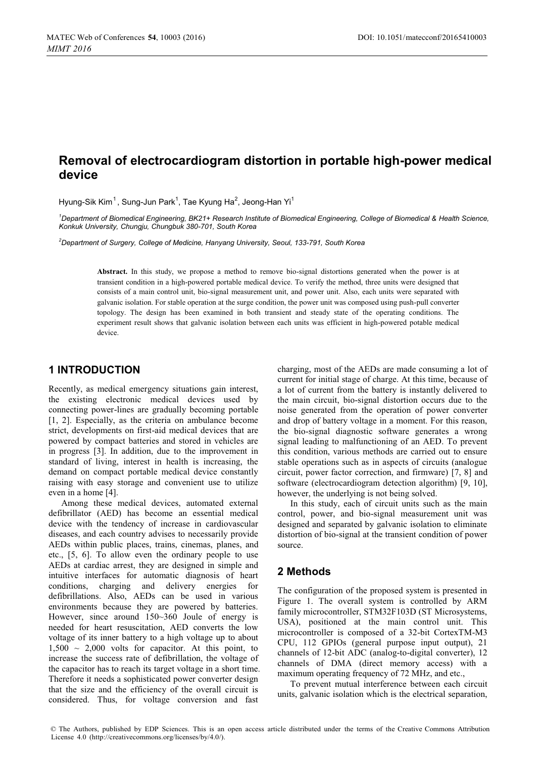# **Removal of electrocardiogram distortion in portable high-power medical device**

Hyung-Sik Kim, Sung-Jun Park, Tae Kyung Ha, Jeong-Han Yi

<sup>1</sup>Department of Biomedical Engineering, BK21+ Research Institute of Biomedical Engineering, College of Biomedical & Health Science, *Konkuk University, Chungju, Chungbuk 380-701, South Korea* 

*2 Department of Surgery, College of Medicine, Hanyang University, Seoul, 133-791, South Korea* 

**Abstract.** In this study, we propose a method to remove bio-signal distortions generated when the power is at transient condition in a high-powered portable medical device. To verify the method, three units were designed that consists of a main control unit, bio-signal measurement unit, and power unit. Also, each units were separated with galvanic isolation. For stable operation at the surge condition, the power unit was composed using push-pull converter topology. The design has been examined in both transient and steady state of the operating conditions. The experiment result shows that galvanic isolation between each units was efficient in high-powered potable medical device.

# **1 INTRODUCTION**

Recently, as medical emergency situations gain interest, the existing electronic medical devices used by connecting power-lines are gradually becoming portable [1, 2]. Especially, as the criteria on ambulance become strict, developments on first-aid medical devices that are powered by compact batteries and stored in vehicles are in progress [3]. In addition, due to the improvement in standard of living, interest in health is increasing, the demand on compact portable medical device constantly raising with easy storage and convenient use to utilize even in a home [4].

Among these medical devices, automated external defibrillator (AED) has become an essential medical device with the tendency of increase in cardiovascular diseases, and each country advises to necessarily provide AEDs within public places, trains, cinemas, planes, and etc., [5, 6]. To allow even the ordinary people to use AEDs at cardiac arrest, they are designed in simple and intuitive interfaces for automatic diagnosis of heart conditions, charging and delivery energies for defibrillations. Also, AEDs can be used in various environments because they are powered by batteries. However, since around 150~360 Joule of energy is needed for heart resuscitation, AED converts the low voltage of its inner battery to a high voltage up to about  $1,500 \sim 2,000$  volts for capacitor. At this point, to increase the success rate of defibrillation, the voltage of the capacitor has to reach its target voltage in a short time. Therefore it needs a sophisticated power converter design that the size and the efficiency of the overall circuit is considered. Thus, for voltage conversion and fast

charging, most of the AEDs are made consuming a lot of current for initial stage of charge. At this time, because of a lot of current from the battery is instantly delivered to the main circuit, bio-signal distortion occurs due to the noise generated from the operation of power converter and drop of battery voltage in a moment. For this reason, the bio-signal diagnostic software generates a wrong signal leading to malfunctioning of an AED. To prevent this condition, various methods are carried out to ensure stable operations such as in aspects of circuits (analogue circuit, power factor correction, and firmware) [7, 8] and software (electrocardiogram detection algorithm) [9, 10], however, the underlying is not being solved.

In this study, each of circuit units such as the main control, power, and bio-signal measurement unit was designed and separated by galvanic isolation to eliminate distortion of bio-signal at the transient condition of power source.

# **2 Methods**

The configuration of the proposed system is presented in Figure 1. The overall system is controlled by ARM family microcontroller, STM32F103D (ST Microsystems, USA), positioned at the main control unit. This microcontroller is composed of a 32-bit CortexTM-M3 CPU, 112 GPIOs (general purpose input output), 21 channels of 12-bit ADC (analog-to-digital converter), 12 channels of DMA (direct memory access) with a maximum operating frequency of 72 MHz, and etc.,

To prevent mutual interference between each circuit units, galvanic isolation which is the electrical separation,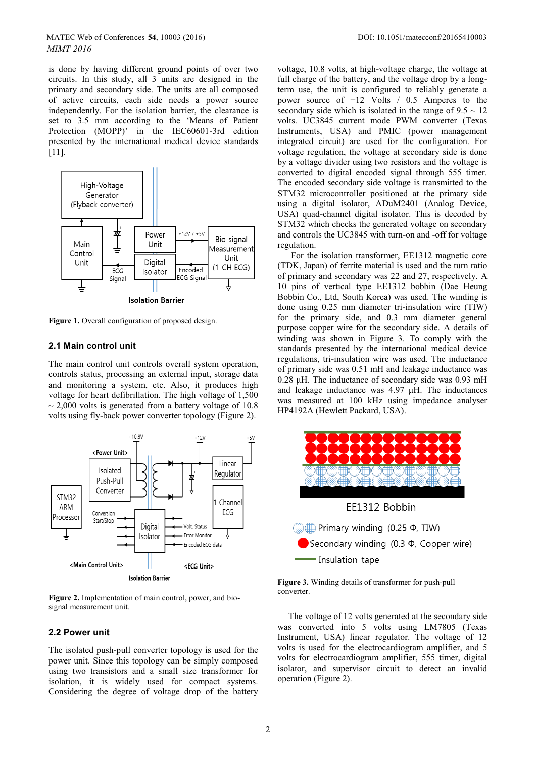is done by having different ground points of over two circuits. In this study, all 3 units are designed in the primary and secondary side. The units are all composed of active circuits, each side needs a power source independently. For the isolation barrier, the clearance is set to 3.5 mm according to the 'Means of Patient Protection (MOPP)' in the IEC60601-3rd edition presented by the international medical device standards [11].



**Figure 1.** Overall configuration of proposed design.

#### **2.1 Main control unit**

The main control unit controls overall system operation, controls status, processing an external input, storage data and monitoring a system, etc. Also, it produces high voltage for heart defibrillation. The high voltage of 1,500  $\sim$  2,000 volts is generated from a battery voltage of 10.8 volts using fly-back power converter topology (Figure 2).



**Figure 2.** Implementation of main control, power, and biosignal measurement unit.

### **2.2 Power unit**

The isolated push-pull converter topology is used for the power unit. Since this topology can be simply composed using two transistors and a small size transformer for isolation, it is widely used for compact systems. Considering the degree of voltage drop of the battery voltage, 10.8 volts, at high-voltage charge, the voltage at full charge of the battery, and the voltage drop by a longterm use, the unit is configured to reliably generate a power source of +12 Volts / 0.5 Amperes to the secondary side which is isolated in the range of  $9.5 \sim 12$ volts. UC3845 current mode PWM converter (Texas Instruments, USA) and PMIC (power management integrated circuit) are used for the configuration. For voltage regulation, the voltage at secondary side is done by a voltage divider using two resistors and the voltage is converted to digital encoded signal through 555 timer. The encoded secondary side voltage is transmitted to the STM32 microcontroller positioned at the primary side using a digital isolator, ADuM2401 (Analog Device, USA) quad-channel digital isolator. This is decoded by STM32 which checks the generated voltage on secondary and controls the UC3845 with turn-on and -off for voltage regulation.

For the isolation transformer, EE1312 magnetic core (TDK, Japan) of ferrite material is used and the turn ratio of primary and secondary was 22 and 27, respectively. A 10 pins of vertical type EE1312 bobbin (Dae Heung Bobbin Co., Ltd, South Korea) was used. The winding is done using 0.25 mm diameter tri-insulation wire (TIW) for the primary side, and 0.3 mm diameter general purpose copper wire for the secondary side. A details of winding was shown in Figure 3. To comply with the standards presented by the international medical device regulations, tri-insulation wire was used. The inductance of primary side was 0.51 mH and leakage inductance was 0.28 μH. The inductance of secondary side was 0.93 mH and leakage inductance was 4.97 μH. The inductances was measured at 100 kHz using impedance analyser HP4192A (Hewlett Packard, USA).



**Figure 3.** Winding details of transformer for push-pull converter.

The voltage of 12 volts generated at the secondary side was converted into 5 volts using LM7805 (Texas Instrument, USA) linear regulator. The voltage of 12 volts is used for the electrocardiogram amplifier, and 5 volts for electrocardiogram amplifier, 555 timer, digital isolator, and supervisor circuit to detect an invalid operation (Figure 2).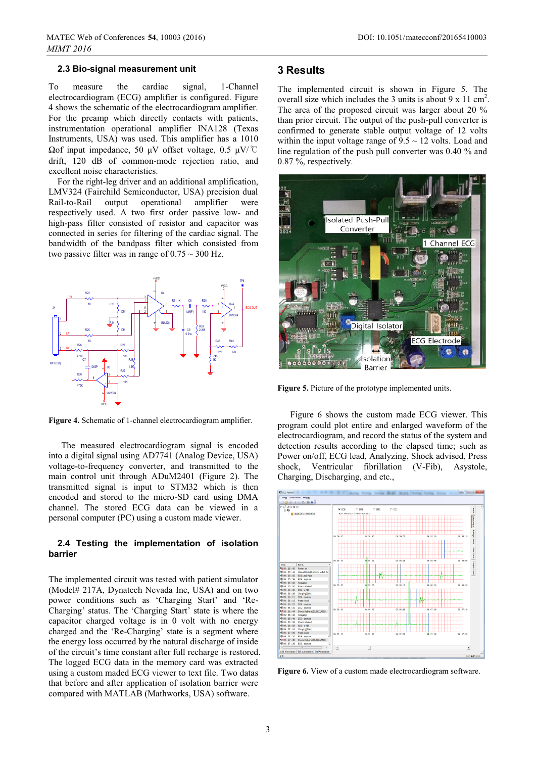#### **2.3 Bio-signal measurement unit**

To measure the cardiac signal, 1-Channel electrocardiogram (ECG) amplifier is configured. Figure 4 shows the schematic of the electrocardiogram amplifier. For the preamp which directly contacts with patients, instrumentation operational amplifier INA128 (Texas Instruments, USA) was used. This amplifier has a 1010  $Ω$ of input impedance, 50 μV offset voltage, 0.5 μV/ $°C$ drift, 120 dB of common-mode rejection ratio, and excellent noise characteristics.

For the right-leg driver and an additional amplification, LMV324 (Fairchild Semiconductor, USA) precision dual Rail-to-Rail output operational amplifier were respectively used. A two first order passive low- and high-pass filter consisted of resistor and capacitor was connected in series for filtering of the cardiac signal. The bandwidth of the bandpass filter which consisted from two passive filter was in range of  $0.75 \sim 300$  Hz.



**Figure 4.** Schematic of 1-channel electrocardiogram amplifier.

The measured electrocardiogram signal is encoded into a digital signal using AD7741 (Analog Device, USA) voltage-to-frequency converter, and transmitted to the main control unit through ADuM2401 (Figure 2). The transmitted signal is input to STM32 which is then encoded and stored to the micro-SD card using DMA channel. The stored ECG data can be viewed in a personal computer (PC) using a custom made viewer.

#### **2.4 Testing the implementation of isolation barrier**

The implemented circuit was tested with patient simulator (Model# 217A, Dynatech Nevada Inc, USA) and on two power conditions such as 'Charging Start' and 'Re-Charging' status. The 'Charging Start' state is where the capacitor charged voltage is in 0 volt with no energy charged and the 'Re-Charging' state is a segment where the energy loss occurred by the natural discharge of inside of the circuit's time constant after full recharge is restored. The logged ECG data in the memory card was extracted using a custom maded ECG viewer to text file. Two datas that before and after application of isolation barrier were compared with MATLAB (Mathworks, USA) software.

## **3 Results**

The implemented circuit is shown in Figure 5. The overall size which includes the 3 units is about 9 x 11 cm<sup>2</sup>. The area of the proposed circuit was larger about 20 % than prior circuit. The output of the push-pull converter is confirmed to generate stable output voltage of 12 volts within the input voltage range of  $9.5 \sim 12$  volts. Load and line regulation of the push pull converter was 0.40 % and 0.87 %, respectively.



**Figure 5.** Picture of the prototype implemented units.

Figure 6 shows the custom made ECG viewer. This program could plot entire and enlarged waveform of the electrocardiogram, and record the status of the system and detection results according to the elapsed time; such as Power on/off, ECG lead, Analyzing, Shock advised, Press shock, Ventricular fibrillation (V-Fib), Asystole, Charging, Discharging, and etc.,



**Figure 6.** View of a custom made electrocardiogram software.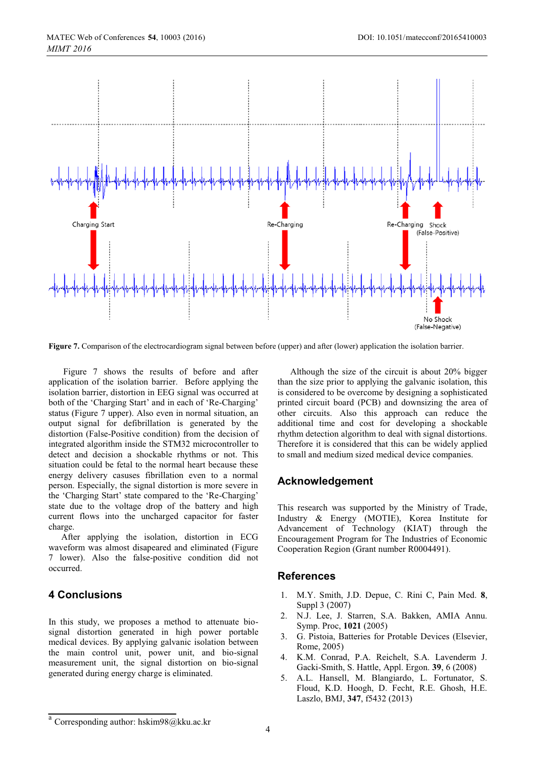

**Figure 7.** Comparison of the electrocardiogram signal between before (upper) and after (lower) application the isolation barrier.

Figure 7 shows the results of before and after application of the isolation barrier. Before applying the isolation barrier, distortion in EEG signal was occurred at both of the 'Charging Start' and in each of 'Re-Charging' status (Figure 7 upper). Also even in normal situation, an output signal for defibrillation is generated by the distortion (False-Positive condition) from the decision of integrated algorithm inside the STM32 microcontroller to detect and decision a shockable rhythms or not. This situation could be fetal to the normal heart because these energy delivery casuses fibrillation even to a normal person. Especially, the signal distortion is more severe in the 'Charging Start' state compared to the 'Re-Charging' state due to the voltage drop of the battery and high current flows into the uncharged capacitor for faster charge.

After applying the isolation, distortion in ECG waveform was almost disapeared and eliminated (Figure 7 lower). Also the false-positive condition did not occurred.

# **4 Conclusions**

In this study, we proposes a method to attenuate biosignal distortion generated in high power portable medical devices. By applying galvanic isolation between the main control unit, power unit, and bio-signal measurement unit, the signal distortion on bio-signal generated during energy charge is eliminated.

Although the size of the circuit is about 20% bigger than the size prior to applying the galvanic isolation, this is considered to be overcome by designing a sophisticated printed circuit board (PCB) and downsizing the area of other circuits. Also this approach can reduce the additional time and cost for developing a shockable rhythm detection algorithm to deal with signal distortions. Therefore it is considered that this can be widely applied to small and medium sized medical device companies.

# **Acknowledgement**

This research was supported by the Ministry of Trade, Industry & Energy (MOTIE), Korea Institute for Advancement of Technology (KIAT) through the Encouragement Program for The Industries of Economic Cooperation Region (Grant number R0004491).

## **References**

- 1. M.Y. Smith, J.D. Depue, C. Rini C, Pain Med. **8**, Suppl 3 (2007)
- 2. N.J. Lee, J. Starren, S.A. Bakken, AMIA Annu. Symp. Proc, **1021** (2005)
- 3. G. Pistoia, Batteries for Protable Devices (Elsevier, Rome, 2005)
- 4. K.M. Conrad, P.A. Reichelt, S.A. Lavenderm J. Gacki-Smith, S. Hattle, Appl. Ergon. **39**, 6 (2008)
- 5. A.L. Hansell, M. Blangiardo, L. Fortunator, S. Floud, K.D. Hoogh, D. Fecht, R.E. Ghosh, H.E. Laszlo, BMJ, **347**, f5432 (2013)

Corresponding author: hskim98@kku.ac.kr